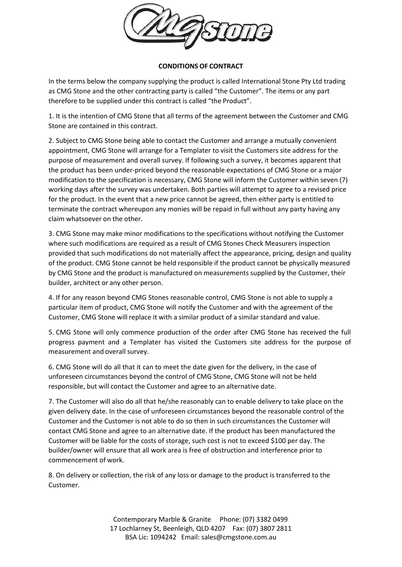

## **CONDITIONS OF CONTRACT**

In the terms below the company supplying the product is called International Stone Pty Ltd trading as CMG Stone and the other contracting party is called "the Customer". The items or any part therefore to be supplied under this contract is called "the Product".

1. It is the intention of CMG Stone that all terms of the agreement between the Customer and CMG Stone are contained in this contract.

2. Subject to CMG Stone being able to contact the Customer and arrange a mutually convenient appointment, CMG Stone will arrange for a Templater to visit the Customers site address for the purpose of measurement and overall survey. If following such a survey, it becomes apparent that the product has been under-priced beyond the reasonable expectations of CMG Stone or a major modification to the specification is necessary, CMG Stone will inform the Customer within seven (7) working days after the survey was undertaken. Both parties will attempt to agree to a revised price for the product. In the event that a new price cannot be agreed, then either party is entitled to terminate the contract whereupon any monies will be repaid in full without any party having any claim whatsoever on the other.

3. CMG Stone may make minor modifications to the specifications without notifying the Customer where such modifications are required as a result of CMG Stones Check Measurers inspection provided that such modifications do not materially affect the appearance, pricing, design and quality of the product. CMG Stone cannot be held responsible if the product cannot be physically measured by CMG Stone and the product is manufactured on measurements supplied by the Customer, their builder, architect or any other person.

4. If for any reason beyond CMG Stones reasonable control, CMG Stone is not able to supply a particular item of product, CMG Stone will notify the Customer and with the agreement of the Customer, CMG Stone will replace it with a similar product of a similar standard and value.

5. CMG Stone will only commence production of the order after CMG Stone has received the full progress payment and a Templater has visited the Customers site address for the purpose of measurement and overall survey.

6. CMG Stone will do all that it can to meet the date given for the delivery, in the case of unforeseen circumstances beyond the control of CMG Stone, CMG Stone will not be held responsible, but will contact the Customer and agree to an alternative date.

7. The Customer will also do all that he/she reasonably can to enable delivery to take place on the given delivery date. In the case of unforeseen circumstances beyond the reasonable control of the Customer and the Customer is not able to do so then in such circumstances the Customer will contact CMG Stone and agree to an alternative date. If the product has been manufactured the Customer will be liable for the costs of storage, such cost is not to exceed \$100 per day. The builder/owner will ensure that all work area is free of obstruction and interference prior to commencement of work.

8. On delivery or collection, the risk of any loss or damage to the product is transferred to the Customer.

> Contemporary Marble & Granite Phone: (07) 3382 0499 17 Lochlarney St, Beenleigh, QLD 4207 Fax: (07) 3807 2811 BSA Lic: 1094242 Email: [sales@cmgstone.com.au](mailto:sales@cmgstone.com.au)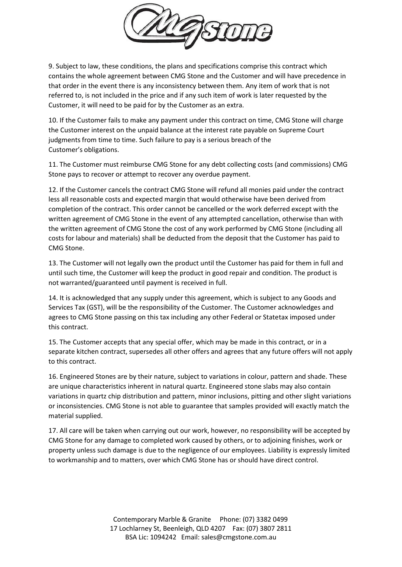

9. Subject to law, these conditions, the plans and specifications comprise this contract which contains the whole agreement between CMG Stone and the Customer and will have precedence in that order in the event there is any inconsistency between them. Any item of work that is not referred to, is not included in the price and if any such item of work is later requested by the Customer, it will need to be paid for by the Customer as an extra.

10. If the Customer fails to make any payment under this contract on time, CMG Stone will charge the Customer interest on the unpaid balance at the interest rate payable on Supreme Court judgments from time to time. Such failure to pay is a serious breach of the Customer's obligations.

11. The Customer must reimburse CMG Stone for any debt collecting costs (and commissions) CMG Stone pays to recover or attempt to recover any overdue payment.

12. If the Customer cancels the contract CMG Stone will refund all monies paid under the contract less all reasonable costs and expected margin that would otherwise have been derived from completion of the contract. This order cannot be cancelled or the work deferred except with the written agreement of CMG Stone in the event of any attempted cancellation, otherwise than with the written agreement of CMG Stone the cost of any work performed by CMG Stone (including all costs for labour and materials) shall be deducted from the deposit that the Customer has paid to CMG Stone.

13. The Customer will not legally own the product until the Customer has paid for them in full and until such time, the Customer will keep the product in good repair and condition. The product is not warranted/guaranteed until payment is received in full.

14. It is acknowledged that any supply under this agreement, which is subject to any Goods and Services Tax (GST), will be the responsibility of the Customer. The Customer acknowledges and agrees to CMG Stone passing on this tax including any other Federal or Statetax imposed under this contract.

15. The Customer accepts that any special offer, which may be made in this contract, or in a separate kitchen contract, supersedes all other offers and agrees that any future offers will not apply to this contract.

16. Engineered Stones are by their nature, subject to variations in colour, pattern and shade. These are unique characteristics inherent in natural quartz. Engineered stone slabs may also contain variations in quartz chip distribution and pattern, minor inclusions, pitting and other slight variations or inconsistencies. CMG Stone is not able to guarantee that samples provided will exactly match the material supplied.

17. All care will be taken when carrying out our work, however, no responsibility will be accepted by CMG Stone for any damage to completed work caused by others, or to adjoining finishes, work or property unless such damage is due to the negligence of our employees. Liability is expressly limited to workmanship and to matters, over which CMG Stone has or should have direct control.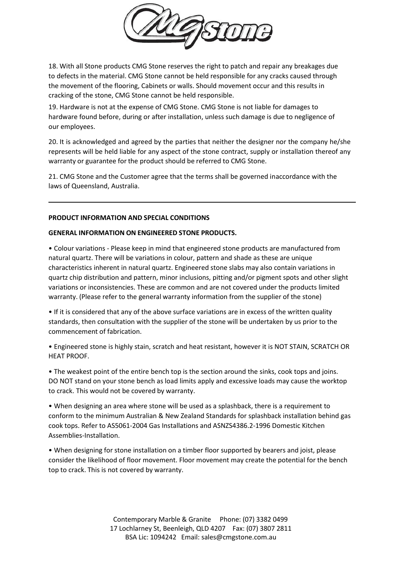

18. With all Stone products CMG Stone reserves the right to patch and repair any breakages due to defects in the material. CMG Stone cannot be held responsible for any cracks caused through the movement of the flooring, Cabinets or walls. Should movement occur and this results in cracking of the stone, CMG Stone cannot be held responsible.

19. Hardware is not at the expense of CMG Stone. CMG Stone is not liable for damages to hardware found before, during or after installation, unless such damage is due to negligence of our employees.

20. It is acknowledged and agreed by the parties that neither the designer nor the company he/she represents will be held liable for any aspect of the stone contract, supply or installation thereof any warranty or guarantee for the product should be referred to CMG Stone.

21. CMG Stone and the Customer agree that the terms shall be governed inaccordance with the laws of Queensland, Australia.

## **PRODUCT INFORMATION AND SPECIAL CONDITIONS**

## **GENERAL INFORMATION ON ENGINEERED STONE PRODUCTS.**

• Colour variations - Please keep in mind that engineered stone products are manufactured from natural quartz. There will be variations in colour, pattern and shade as these are unique characteristics inherent in natural quartz. Engineered stone slabs may also contain variations in quartz chip distribution and pattern, minor inclusions, pitting and/or pigment spots and other slight variations or inconsistencies. These are common and are not covered under the products limited warranty. (Please refer to the general warranty information from the supplier of the stone)

• If it is considered that any of the above surface variations are in excess of the written quality standards, then consultation with the supplier of the stone will be undertaken by us prior to the commencement of fabrication.

• Engineered stone is highly stain, scratch and heat resistant, however it is NOT STAIN, SCRATCH OR HEAT PROOF.

• The weakest point of the entire bench top is the section around the sinks, cook tops and joins. DO NOT stand on your stone bench as load limits apply and excessive loads may cause the worktop to crack. This would not be covered by warranty.

• When designing an area where stone will be used as a splashback, there is a requirement to conform to the minimum Australian & New Zealand Standards for splashback installation behind gas cook tops. Refer to AS5061-2004 Gas Installations and ASNZS4386.2-1996 Domestic Kitchen Assemblies-Installation.

• When designing for stone installation on a timber floor supported by bearers and joist, please consider the likelihood of floor movement. Floor movement may create the potential for the bench top to crack. This is not covered by warranty.

> Contemporary Marble & Granite Phone: (07) 3382 0499 17 Lochlarney St, Beenleigh, QLD 4207 Fax: (07) 3807 2811 BSA Lic: 1094242 Email: [sales@cmgstone.com.au](mailto:sales@cmgstone.com.au)